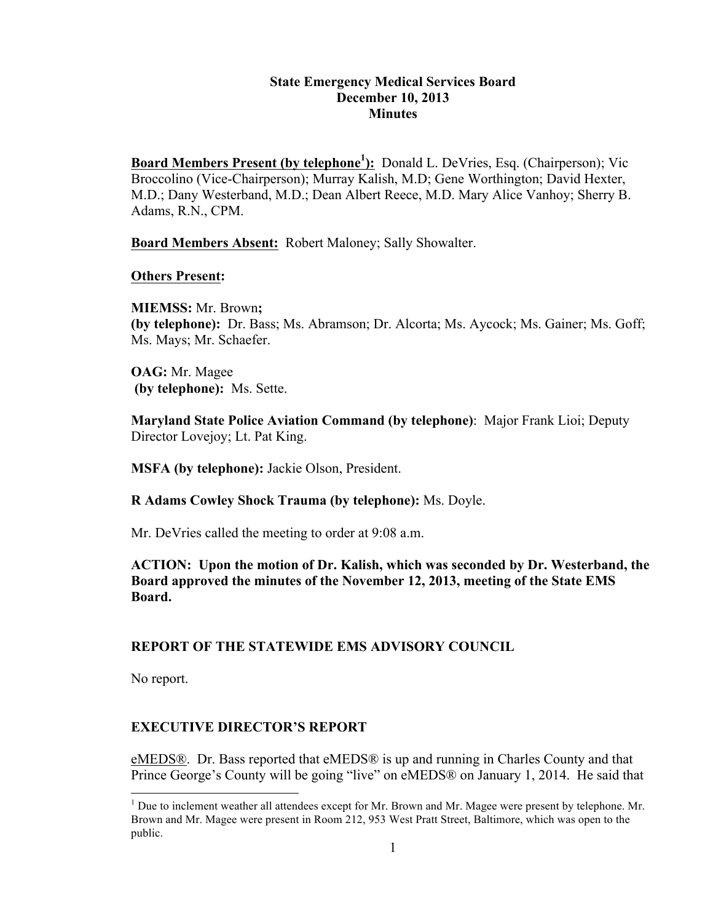#### **State Emergency Medical Services Board December 10, 2013 Minutes**

**Board Members Present (by telephone<sup>1</sup>):** Donald L. DeVries, Esq. (Chairperson); Vic Broccolino (Vice-Chairperson); Murray Kalish, M.D; Gene Worthington; David Hexter, M.D.; Dany Westerband, M.D.; Dean Albert Reece, M.D. Mary Alice Vanhoy; Sherry B. Adams, R.N., CPM.

**Board Members Absent:** Robert Maloney; Sally Showalter.

### **Others Present:**

**MIEMSS:** Mr. Brown**; (by telephone):** Dr. Bass; Ms. Abramson; Dr. Alcorta; Ms. Aycock; Ms. Gainer; Ms. Goff; Ms. Mays; Mr. Schaefer.

**OAG:** Mr. Magee **(by telephone):** Ms. Sette.

**Maryland State Police Aviation Command (by telephone)**: Major Frank Lioi; Deputy Director Lovejoy; Lt. Pat King.

**MSFA (by telephone):** Jackie Olson, President.

**R Adams Cowley Shock Trauma (by telephone):** Ms. Doyle.

Mr. DeVries called the meeting to order at 9:08 a.m.

# **ACTION: Upon the motion of Dr. Kalish, which was seconded by Dr. Westerband, the Board approved the minutes of the November 12, 2013, meeting of the State EMS Board.**

# **REPORT OF THE STATEWIDE EMS ADVISORY COUNCIL**

No report.

# **EXECUTIVE DIRECTOR'S REPORT**

eMEDS®. Dr. Bass reported that eMEDS® is up and running in Charles County and that Prince George's County will be going "live" on eMEDS® on January 1, 2014. He said that

<sup>&</sup>lt;sup>1</sup> Due to inclement weather all attendees except for Mr. Brown and Mr. Magee were present by telephone. Mr. Brown and Mr. Magee were present in Room 212, 953 West Pratt Street, Baltimore, which was open to the public.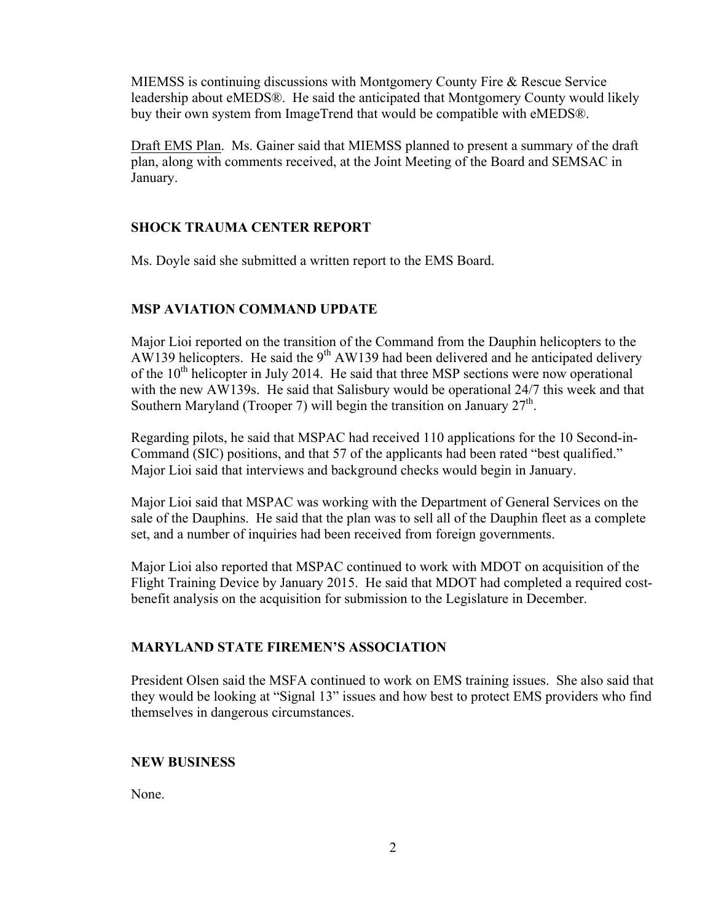MIEMSS is continuing discussions with Montgomery County Fire & Rescue Service leadership about eMEDS®. He said the anticipated that Montgomery County would likely buy their own system from ImageTrend that would be compatible with eMEDS®.

Draft EMS Plan. Ms. Gainer said that MIEMSS planned to present a summary of the draft plan, along with comments received, at the Joint Meeting of the Board and SEMSAC in January.

### **SHOCK TRAUMA CENTER REPORT**

Ms. Doyle said she submitted a written report to the EMS Board.

### **MSP AVIATION COMMAND UPDATE**

Major Lioi reported on the transition of the Command from the Dauphin helicopters to the AW139 helicopters. He said the 9<sup>th</sup> AW139 had been delivered and he anticipated delivery of the  $10<sup>th</sup>$  helicopter in July 2014. He said that three MSP sections were now operational with the new AW139s. He said that Salisbury would be operational 24/7 this week and that Southern Maryland (Trooper 7) will begin the transition on January  $27<sup>th</sup>$ .

Regarding pilots, he said that MSPAC had received 110 applications for the 10 Second-in-Command (SIC) positions, and that 57 of the applicants had been rated "best qualified." Major Lioi said that interviews and background checks would begin in January.

Major Lioi said that MSPAC was working with the Department of General Services on the sale of the Dauphins. He said that the plan was to sell all of the Dauphin fleet as a complete set, and a number of inquiries had been received from foreign governments.

Major Lioi also reported that MSPAC continued to work with MDOT on acquisition of the Flight Training Device by January 2015. He said that MDOT had completed a required costbenefit analysis on the acquisition for submission to the Legislature in December.

### **MARYLAND STATE FIREMEN'S ASSOCIATION**

President Olsen said the MSFA continued to work on EMS training issues. She also said that they would be looking at "Signal 13" issues and how best to protect EMS providers who find themselves in dangerous circumstances.

### **NEW BUSINESS**

None.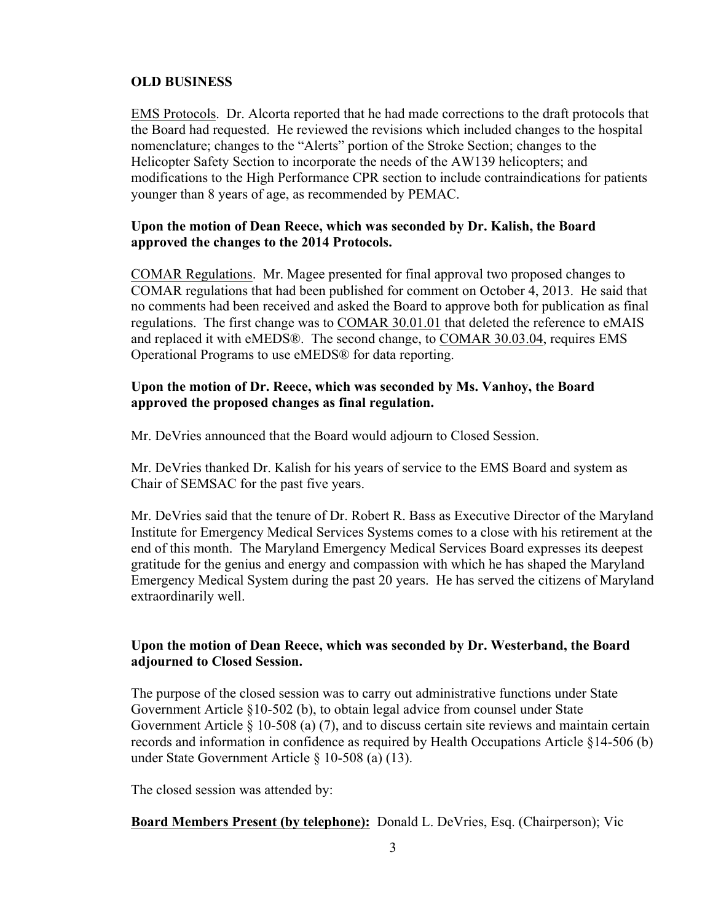### **OLD BUSINESS**

EMS Protocols. Dr. Alcorta reported that he had made corrections to the draft protocols that the Board had requested. He reviewed the revisions which included changes to the hospital nomenclature; changes to the "Alerts" portion of the Stroke Section; changes to the Helicopter Safety Section to incorporate the needs of the AW139 helicopters; and modifications to the High Performance CPR section to include contraindications for patients younger than 8 years of age, as recommended by PEMAC.

# **Upon the motion of Dean Reece, which was seconded by Dr. Kalish, the Board approved the changes to the 2014 Protocols.**

COMAR Regulations. Mr. Magee presented for final approval two proposed changes to COMAR regulations that had been published for comment on October 4, 2013. He said that no comments had been received and asked the Board to approve both for publication as final regulations. The first change was to COMAR 30.01.01 that deleted the reference to eMAIS and replaced it with eMEDS®. The second change, to COMAR 30.03.04, requires EMS Operational Programs to use eMEDS® for data reporting.

### **Upon the motion of Dr. Reece, which was seconded by Ms. Vanhoy, the Board approved the proposed changes as final regulation.**

Mr. DeVries announced that the Board would adjourn to Closed Session.

Mr. DeVries thanked Dr. Kalish for his years of service to the EMS Board and system as Chair of SEMSAC for the past five years.

Mr. DeVries said that the tenure of Dr. Robert R. Bass as Executive Director of the Maryland Institute for Emergency Medical Services Systems comes to a close with his retirement at the end of this month. The Maryland Emergency Medical Services Board expresses its deepest gratitude for the genius and energy and compassion with which he has shaped the Maryland Emergency Medical System during the past 20 years. He has served the citizens of Maryland extraordinarily well.

# **Upon the motion of Dean Reece, which was seconded by Dr. Westerband, the Board adjourned to Closed Session.**

The purpose of the closed session was to carry out administrative functions under State Government Article §10-502 (b), to obtain legal advice from counsel under State Government Article § 10-508 (a) (7), and to discuss certain site reviews and maintain certain records and information in confidence as required by Health Occupations Article §14-506 (b) under State Government Article § 10-508 (a) (13).

The closed session was attended by:

# **Board Members Present (by telephone):** Donald L. DeVries, Esq. (Chairperson); Vic